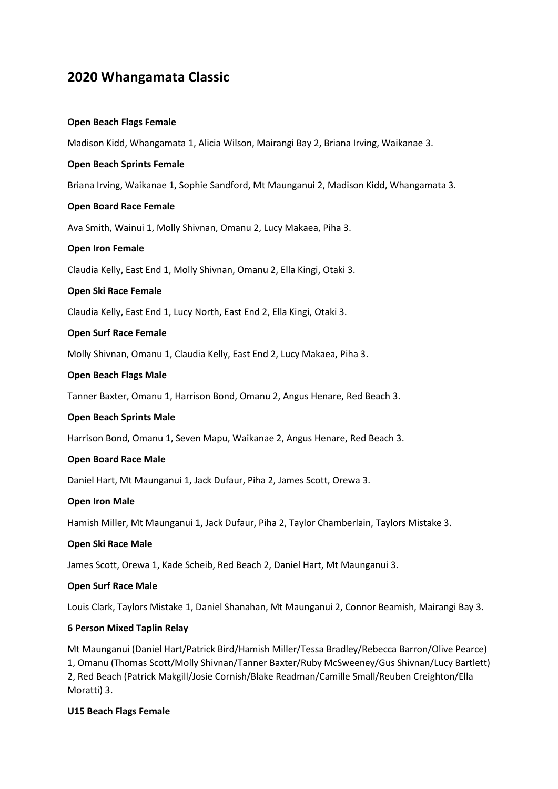# **2020 Whangamata Classic**

### **Open Beach Flags Female**

Madison Kidd, Whangamata 1, Alicia Wilson, Mairangi Bay 2, Briana Irving, Waikanae 3.

### **Open Beach Sprints Female**

Briana Irving, Waikanae 1, Sophie Sandford, Mt Maunganui 2, Madison Kidd, Whangamata 3.

#### **Open Board Race Female**

Ava Smith, Wainui 1, Molly Shivnan, Omanu 2, Lucy Makaea, Piha 3.

#### **Open Iron Female**

Claudia Kelly, East End 1, Molly Shivnan, Omanu 2, Ella Kingi, Otaki 3.

#### **Open Ski Race Female**

Claudia Kelly, East End 1, Lucy North, East End 2, Ella Kingi, Otaki 3.

#### **Open Surf Race Female**

Molly Shivnan, Omanu 1, Claudia Kelly, East End 2, Lucy Makaea, Piha 3.

#### **Open Beach Flags Male**

Tanner Baxter, Omanu 1, Harrison Bond, Omanu 2, Angus Henare, Red Beach 3.

#### **Open Beach Sprints Male**

Harrison Bond, Omanu 1, Seven Mapu, Waikanae 2, Angus Henare, Red Beach 3.

#### **Open Board Race Male**

Daniel Hart, Mt Maunganui 1, Jack Dufaur, Piha 2, James Scott, Orewa 3.

### **Open Iron Male**

Hamish Miller, Mt Maunganui 1, Jack Dufaur, Piha 2, Taylor Chamberlain, Taylors Mistake 3.

#### **Open Ski Race Male**

James Scott, Orewa 1, Kade Scheib, Red Beach 2, Daniel Hart, Mt Maunganui 3.

#### **Open Surf Race Male**

Louis Clark, Taylors Mistake 1, Daniel Shanahan, Mt Maunganui 2, Connor Beamish, Mairangi Bay 3.

### **6 Person Mixed Taplin Relay**

Mt Maunganui (Daniel Hart/Patrick Bird/Hamish Miller/Tessa Bradley/Rebecca Barron/Olive Pearce) 1, Omanu (Thomas Scott/Molly Shivnan/Tanner Baxter/Ruby McSweeney/Gus Shivnan/Lucy Bartlett) 2, Red Beach (Patrick Makgill/Josie Cornish/Blake Readman/Camille Small/Reuben Creighton/Ella Moratti) 3.

### **U15 Beach Flags Female**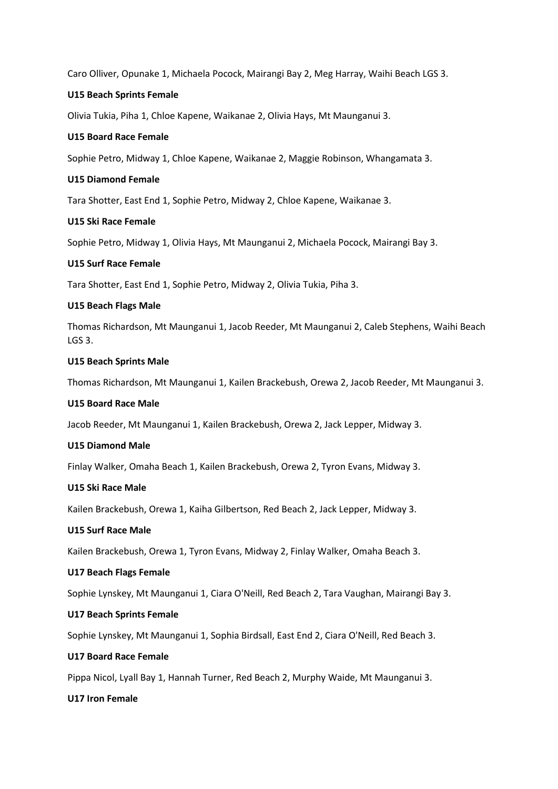Caro Olliver, Opunake 1, Michaela Pocock, Mairangi Bay 2, Meg Harray, Waihi Beach LGS 3.

#### **U15 Beach Sprints Female**

Olivia Tukia, Piha 1, Chloe Kapene, Waikanae 2, Olivia Hays, Mt Maunganui 3.

#### **U15 Board Race Female**

Sophie Petro, Midway 1, Chloe Kapene, Waikanae 2, Maggie Robinson, Whangamata 3.

### **U15 Diamond Female**

Tara Shotter, East End 1, Sophie Petro, Midway 2, Chloe Kapene, Waikanae 3.

#### **U15 Ski Race Female**

Sophie Petro, Midway 1, Olivia Hays, Mt Maunganui 2, Michaela Pocock, Mairangi Bay 3.

#### **U15 Surf Race Female**

Tara Shotter, East End 1, Sophie Petro, Midway 2, Olivia Tukia, Piha 3.

#### **U15 Beach Flags Male**

Thomas Richardson, Mt Maunganui 1, Jacob Reeder, Mt Maunganui 2, Caleb Stephens, Waihi Beach LGS 3.

#### **U15 Beach Sprints Male**

Thomas Richardson, Mt Maunganui 1, Kailen Brackebush, Orewa 2, Jacob Reeder, Mt Maunganui 3.

#### **U15 Board Race Male**

Jacob Reeder, Mt Maunganui 1, Kailen Brackebush, Orewa 2, Jack Lepper, Midway 3.

### **U15 Diamond Male**

Finlay Walker, Omaha Beach 1, Kailen Brackebush, Orewa 2, Tyron Evans, Midway 3.

#### **U15 Ski Race Male**

Kailen Brackebush, Orewa 1, Kaiha Gilbertson, Red Beach 2, Jack Lepper, Midway 3.

### **U15 Surf Race Male**

Kailen Brackebush, Orewa 1, Tyron Evans, Midway 2, Finlay Walker, Omaha Beach 3.

#### **U17 Beach Flags Female**

Sophie Lynskey, Mt Maunganui 1, Ciara O'Neill, Red Beach 2, Tara Vaughan, Mairangi Bay 3.

#### **U17 Beach Sprints Female**

Sophie Lynskey, Mt Maunganui 1, Sophia Birdsall, East End 2, Ciara O'Neill, Red Beach 3.

# **U17 Board Race Female**

Pippa Nicol, Lyall Bay 1, Hannah Turner, Red Beach 2, Murphy Waide, Mt Maunganui 3.

#### **U17 Iron Female**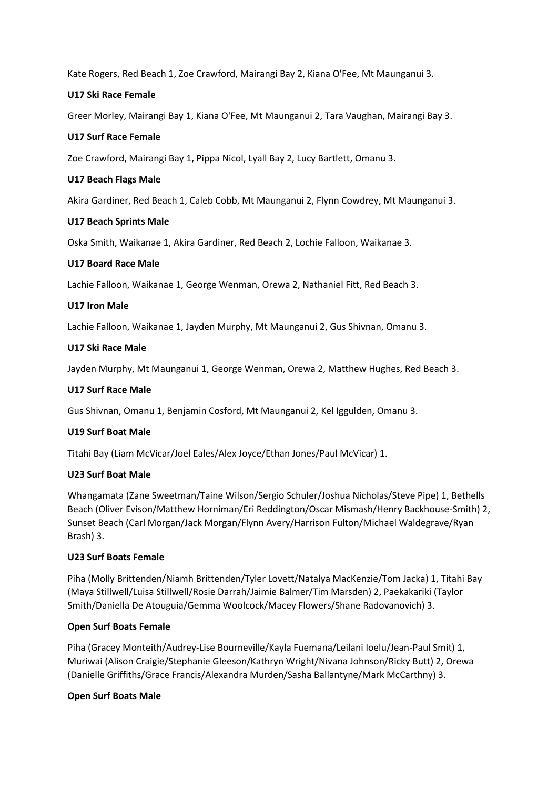Kate Rogers, Red Beach 1, Zoe Crawford, Mairangi Bay 2, Kiana O'Fee, Mt Maunganui 3.

### **U17 Ski Race Female**

Greer Morley, Mairangi Bay 1, Kiana O'Fee, Mt Maunganui 2, Tara Vaughan, Mairangi Bay 3.

### **U17 Surf Race Female**

Zoe Crawford, Mairangi Bay 1, Pippa Nicol, Lyall Bay 2, Lucy Bartlett, Omanu 3.

### **U17 Beach Flags Male**

Akira Gardiner, Red Beach 1, Caleb Cobb, Mt Maunganui 2, Flynn Cowdrey, Mt Maunganui 3.

### **U17 Beach Sprints Male**

Oska Smith, Waikanae 1, Akira Gardiner, Red Beach 2, Lochie Falloon, Waikanae 3.

### **U17 Board Race Male**

Lachie Falloon, Waikanae 1, George Wenman, Orewa 2, Nathaniel Fitt, Red Beach 3.

### **U17 Iron Male**

Lachie Falloon, Waikanae 1, Jayden Murphy, Mt Maunganui 2, Gus Shivnan, Omanu 3.

### **U17 Ski Race Male**

Jayden Murphy, Mt Maunganui 1, George Wenman, Orewa 2, Matthew Hughes, Red Beach 3.

### **U17 Surf Race Male**

Gus Shivnan, Omanu 1, Benjamin Cosford, Mt Maunganui 2, Kel Iggulden, Omanu 3.

### **U19 Surf Boat Male**

Titahi Bay (Liam McVicar/Joel Eales/Alex Joyce/Ethan Jones/Paul McVicar) 1.

# **U23 Surf Boat Male**

Whangamata (Zane Sweetman/Taine Wilson/Sergio Schuler/Joshua Nicholas/Steve Pipe) 1, Bethells Beach (Oliver Evison/Matthew Horniman/Eri Reddington/Oscar Mismash/Henry Backhouse-Smith) 2, Sunset Beach (Carl Morgan/Jack Morgan/Flynn Avery/Harrison Fulton/Michael Waldegrave/Ryan Brash) 3.

# **U23 Surf Boats Female**

Piha (Molly Brittenden/Niamh Brittenden/Tyler Lovett/Natalya MacKenzie/Tom Jacka) 1, Titahi Bay (Maya Stillwell/Luisa Stillwell/Rosie Darrah/Jaimie Balmer/Tim Marsden) 2, Paekakariki (Taylor Smith/Daniella De Atouguia/Gemma Woolcock/Macey Flowers/Shane Radovanovich) 3.

# **Open Surf Boats Female**

Piha (Gracey Monteith/Audrey-Lise Bourneville/Kayla Fuemana/Leilani Ioelu/Jean-Paul Smit) 1, Muriwai (Alison Craigie/Stephanie Gleeson/Kathryn Wright/Nivana Johnson/Ricky Butt) 2, Orewa (Danielle Griffiths/Grace Francis/Alexandra Murden/Sasha Ballantyne/Mark McCarthny) 3.

### **Open Surf Boats Male**